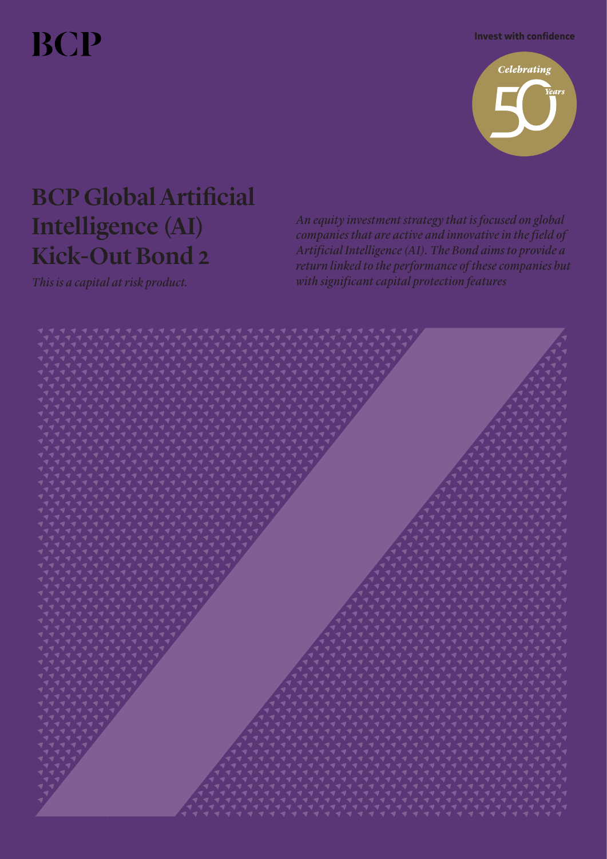**BCP** 

Invest with confidence



# BCP GlobalArtificial Intelligence (AI) Kick-Out Bond 2

*An equity investment strategy that is focused on global companies that are active and innovative in the field of Artificial Intelligence (AI). The Bond aims to provide a return linked to the performance of these companies but This is a capital at risk product. with significant capital protection features*

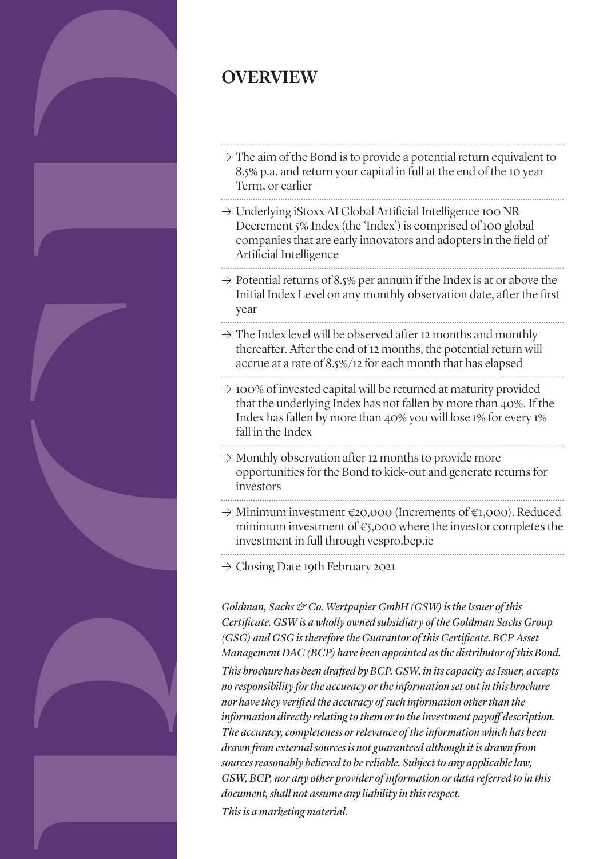

# OVERVIEW

- $\rightarrow$  The aim of the Bond is to provide a potential return equivalent to 8.5% p.a. and return your capital in full at the end of the 10 year Term, or earlier
- � Underlying iStoxx AI Global Artificial Intelligence 100 NR Decrement 5% Index (the 'Index') is comprised of 100 global companies that are early innovators and adopters in the field of Artificial Intelligence
- $\rightarrow$  Potential returns of 8.5% per annum if the Index is at or above the Initial Index Level on any monthly observation date, after the first year
- $\rightarrow$  The Index level will be observed after 12 months and monthly thereafter. After the end of 12 months, the potential return will accrue at a rate of 8.5%/12 for each month that has elapsed
- $\rightarrow$  100% of invested capital will be returned at maturity provided that the underlying Index has not fallen by more than 40%. If the Index has fallen by more than 40% you will lose 1% for every 1% fall in the Index
- $\rightarrow$  Monthly observation after 12 months to provide more opportunities for the Bond to kick-out and generate returns for investors
- $\rightarrow$  Minimum investment €20,000 (Increments of €1,000). Reduced minimum investment of  $\varepsilon$ 5,000 where the investor completes the investment in full through vespro.bcp.ie
- $\rightarrow$  Closing Date 19th February 2021

*Goldman, Sachs & Co. Wertpapier GmbH (GSW) is theIssuer of this Certificate. GSW is a wholly owned subsidiary of the Goldman Sachs Group (GSG) and GSG is thereforethe Guarantor of this Certificate. BCPAsset Management DAC (BCP) have been appointed as the distributor of this Bond. This brochure has been drafted by BCP. GSW, in itscapacity as Issuer, accepts no responsibility forthe accuracy ortheinformation set out in this brochure nor havethey verified the accuracy of such information otherthan the information directly relating to them orto theinvestment payoff description. The accuracy,completeness orrelevance of theinformation which has been drawn from external sources is not guaranteed although it is drawn from sourcesreasonably believed to bereliable. Subject to any applicablelaw, GSW, BCP, nor any other provider of information or data referred to in this document, shall not assume any liability in thisrespect. This is a marketing material.*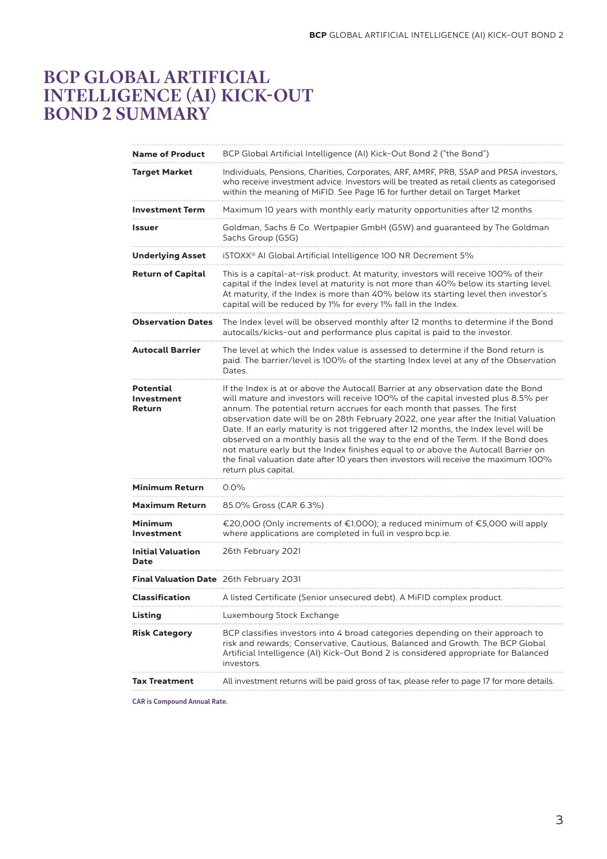# BCP GLOBAL ARTIFICIAL INTELLIGENCE (AI) KICK-OUT BOND 2 SUMMARY

| <b>Name of Product</b>                         | BCP Global Artificial Intelligence (AI) Kick-Out Bond 2 ("the Bond")                                                                                                                                                                                                                                                                                                                                                                                                                                                                                                                                                                                                                                                         |
|------------------------------------------------|------------------------------------------------------------------------------------------------------------------------------------------------------------------------------------------------------------------------------------------------------------------------------------------------------------------------------------------------------------------------------------------------------------------------------------------------------------------------------------------------------------------------------------------------------------------------------------------------------------------------------------------------------------------------------------------------------------------------------|
| Target Market                                  | Individuals, Pensions, Charities, Corporates, ARF, AMRF, PRB, SSAP and PRSA investors,<br>who receive investment advice. Investors will be treated as retail clients as categorised<br>within the meaning of MiFID. See Page 16 for further detail on Target Market                                                                                                                                                                                                                                                                                                                                                                                                                                                          |
| Investment Term                                | Maximum 10 years with monthly early maturity opportunities after 12 months                                                                                                                                                                                                                                                                                                                                                                                                                                                                                                                                                                                                                                                   |
| Issuer                                         | Goldman, Sachs & Co. Wertpapier GmbH (GSW) and guaranteed by The Goldman<br>Sachs Group (GSG)                                                                                                                                                                                                                                                                                                                                                                                                                                                                                                                                                                                                                                |
| <b>Underlying Asset</b>                        | iSTOXX <sup>®</sup> AI Global Artificial Intelligence 100 NR Decrement 5%                                                                                                                                                                                                                                                                                                                                                                                                                                                                                                                                                                                                                                                    |
| <b>Return of Capital</b>                       | This is a capital-at-risk product. At maturity, investors will receive 100% of their<br>capital if the Index level at maturity is not more than 40% below its starting level.<br>At maturity, if the Index is more than 40% below its starting level then investor's<br>capital will be reduced by 1% for every 1% fall in the Index.                                                                                                                                                                                                                                                                                                                                                                                        |
| <b>Observation Dates</b>                       | The Index level will be observed monthly after 12 months to determine if the Bond<br>autocalls/kicks-out and performance plus capital is paid to the investor.                                                                                                                                                                                                                                                                                                                                                                                                                                                                                                                                                               |
| <b>Autocall Barrier</b>                        | The level at which the Index value is assessed to determine if the Bond return is<br>paid. The barrier/level is 100% of the starting Index level at any of the Observation<br>Dates.                                                                                                                                                                                                                                                                                                                                                                                                                                                                                                                                         |
| <b>Potential</b><br>Investment<br>Return       | If the Index is at or above the Autocall Barrier at any observation date the Bond<br>will mature and investors will receive 100% of the capital invested plus 8.5% per<br>annum. The potential return accrues for each month that passes. The first<br>observation date will be on 28th February 2022, one year after the Initial Valuation<br>Date. If an early maturity is not triggered after 12 months, the Index level will be<br>observed on a monthly basis all the way to the end of the Term. If the Bond does<br>not mature early but the Index finishes equal to or above the Autocall Barrier on<br>the final valuation date after 10 years then investors will receive the maximum 100%<br>return plus capital. |
| Minimum Return                                 | $0.0\%$                                                                                                                                                                                                                                                                                                                                                                                                                                                                                                                                                                                                                                                                                                                      |
| <b>Maximum Return</b>                          | 85.0% Gross (CAR 6.3%)                                                                                                                                                                                                                                                                                                                                                                                                                                                                                                                                                                                                                                                                                                       |
| Minimum<br>Investment                          | €20,000 (Only increments of €1,000); a reduced minimum of €5,000 will apply<br>where applications are completed in full in vespro.bcp.ie.                                                                                                                                                                                                                                                                                                                                                                                                                                                                                                                                                                                    |
| <b>Initial Valuation</b><br>Date               | 26th February 2021                                                                                                                                                                                                                                                                                                                                                                                                                                                                                                                                                                                                                                                                                                           |
| <b>Final Valuation Date</b> 26th February 2031 |                                                                                                                                                                                                                                                                                                                                                                                                                                                                                                                                                                                                                                                                                                                              |
| <b>Classification</b>                          | A listed Certificate (Senior unsecured debt). A MiFID complex product.                                                                                                                                                                                                                                                                                                                                                                                                                                                                                                                                                                                                                                                       |
| Listing                                        | Luxembourg Stock Exchange                                                                                                                                                                                                                                                                                                                                                                                                                                                                                                                                                                                                                                                                                                    |
| <b>Risk Category</b>                           | BCP classifies investors into 4 broad categories depending on their approach to<br>risk and rewards; Conservative, Cautious, Balanced and Growth. The BCP Global<br>Artificial Intelligence (AI) Kick-Out Bond 2 is considered appropriate for Balanced<br>investors.                                                                                                                                                                                                                                                                                                                                                                                                                                                        |
| Tax Treatment                                  | All investment returns will be paid gross of tax, please refer to page 17 for more details.                                                                                                                                                                                                                                                                                                                                                                                                                                                                                                                                                                                                                                  |

CAR is Compound Annual Rate.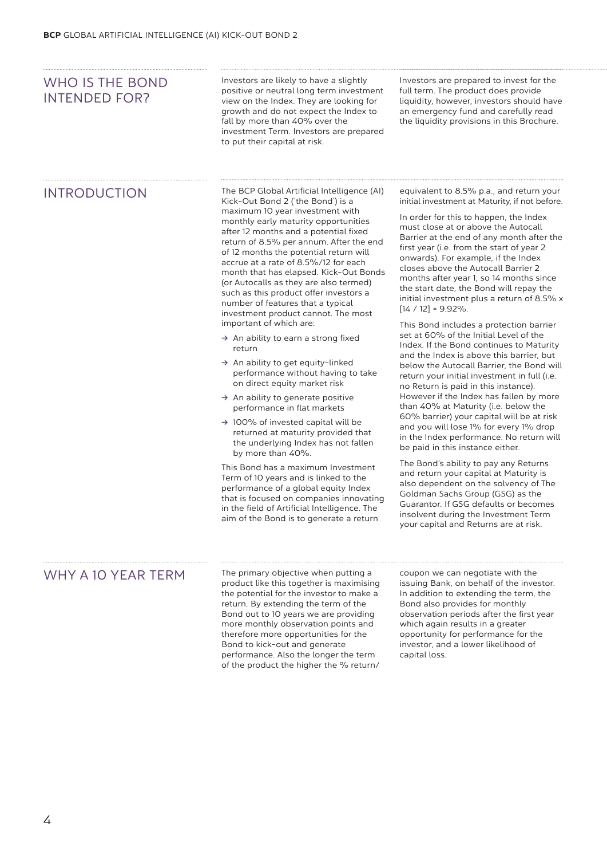| WHO IS THE BOND<br><b>INTENDED FOR?</b> | Investors are likely to have a slightly<br>positive or neutral long term investment<br>view on the Index. They are looking for<br>growth and do not expect the Index to<br>fall by more than 40% over the<br>investment Term. Investors are prepared<br>to put their capital at risk.                                                                                                                                                                                                                                                                                                                                                                                                                                                                                                                                                                                                                                                                                                                                                                                                                                                                                                                                                                       | Investors are prepared to invest for the<br>full term. The product does provide<br>liquidity, however, investors should have<br>an emergency fund and carefully read<br>the liquidity provisions in this Brochure.                                                                                                                                                                                                                                                                                                                                                                                                                                                                                                                                                                                                                                                                                                                                                                                                                                                                                                                                                                                                                                                                                                                                                                      |
|-----------------------------------------|-------------------------------------------------------------------------------------------------------------------------------------------------------------------------------------------------------------------------------------------------------------------------------------------------------------------------------------------------------------------------------------------------------------------------------------------------------------------------------------------------------------------------------------------------------------------------------------------------------------------------------------------------------------------------------------------------------------------------------------------------------------------------------------------------------------------------------------------------------------------------------------------------------------------------------------------------------------------------------------------------------------------------------------------------------------------------------------------------------------------------------------------------------------------------------------------------------------------------------------------------------------|-----------------------------------------------------------------------------------------------------------------------------------------------------------------------------------------------------------------------------------------------------------------------------------------------------------------------------------------------------------------------------------------------------------------------------------------------------------------------------------------------------------------------------------------------------------------------------------------------------------------------------------------------------------------------------------------------------------------------------------------------------------------------------------------------------------------------------------------------------------------------------------------------------------------------------------------------------------------------------------------------------------------------------------------------------------------------------------------------------------------------------------------------------------------------------------------------------------------------------------------------------------------------------------------------------------------------------------------------------------------------------------------|
| <b>INTRODUCTION</b>                     | The BCP Global Artificial Intelligence (AI)<br>Kick-Out Bond 2 ('the Bond') is a<br>maximum 10 year investment with<br>monthly early maturity opportunities<br>after 12 months and a potential fixed<br>return of 8.5% per annum. After the end<br>of 12 months the potential return will<br>accrue at a rate of 8.5%/12 for each<br>month that has elapsed. Kick-Out Bonds<br>(or Autocalls as they are also termed)<br>such as this product offer investors a<br>number of features that a typical<br>investment product cannot. The most<br>important of which are:<br>$\rightarrow$ An ability to earn a strong fixed<br>return<br>$\rightarrow$ An ability to get equity-linked<br>performance without having to take<br>on direct equity market risk<br>$\rightarrow$ An ability to generate positive<br>performance in flat markets<br>$\rightarrow$ 100% of invested capital will be<br>returned at maturity provided that<br>the underlying Index has not fallen<br>by more than 40%.<br>This Bond has a maximum Investment<br>Term of 10 years and is linked to the<br>performance of a global equity Index<br>that is focused on companies innovating<br>in the field of Artificial Intelligence. The<br>aim of the Bond is to generate a return | equivalent to 8.5% p.a., and return your<br>initial investment at Maturity, if not before.<br>In order for this to happen, the Index<br>must close at or above the Autocall<br>Barrier at the end of any month after the<br>first year (i.e. from the start of year 2<br>onwards). For example, if the Index<br>closes above the Autocall Barrier 2<br>months after year 1, so 14 months since<br>the start date, the Bond will repay the<br>initial investment plus a return of 8.5% x<br>$[14 / 12] = 9.92\%$ .<br>This Bond includes a protection barrier<br>set at 60% of the Initial Level of the<br>Index. If the Bond continues to Maturity<br>and the Index is above this barrier, but<br>below the Autocall Barrier, the Bond will<br>return your initial investment in full (i.e.<br>no Return is paid in this instance).<br>However if the Index has fallen by more<br>than 40% at Maturity (i.e. below the<br>60% barrier) your capital will be at risk<br>and you will lose 1% for every 1% drop<br>in the Index performance. No return will<br>be paid in this instance either.<br>The Bond's ability to pay any Returns<br>and return your capital at Maturity is<br>also dependent on the solvency of The<br>Goldman Sachs Group (GSG) as the<br>Guarantor. If GSG defaults or becomes<br>insolvent during the Investment Term<br>your capital and Returns are at risk. |
| WHY A 10 YEAR TERM                      | The primary objective when putting a<br>product like this together is maximising<br>the potential for the investor to make a<br>return. By extending the term of the<br>Bond out to 10 years we are providing<br>more monthly observation points and<br>therefore more opportunities for the<br>Bond to kick-out and generate<br>performance. Also the longer the term                                                                                                                                                                                                                                                                                                                                                                                                                                                                                                                                                                                                                                                                                                                                                                                                                                                                                      | coupon we can negotiate with the<br>issuing Bank, on behalf of the investor.<br>In addition to extending the term, the<br>Bond also provides for monthly<br>observation periods after the first year<br>which again results in a greater<br>opportunity for performance for the<br>investor, and a lower likelihood of<br>capital loss.                                                                                                                                                                                                                                                                                                                                                                                                                                                                                                                                                                                                                                                                                                                                                                                                                                                                                                                                                                                                                                                 |

of the product the higher the % return/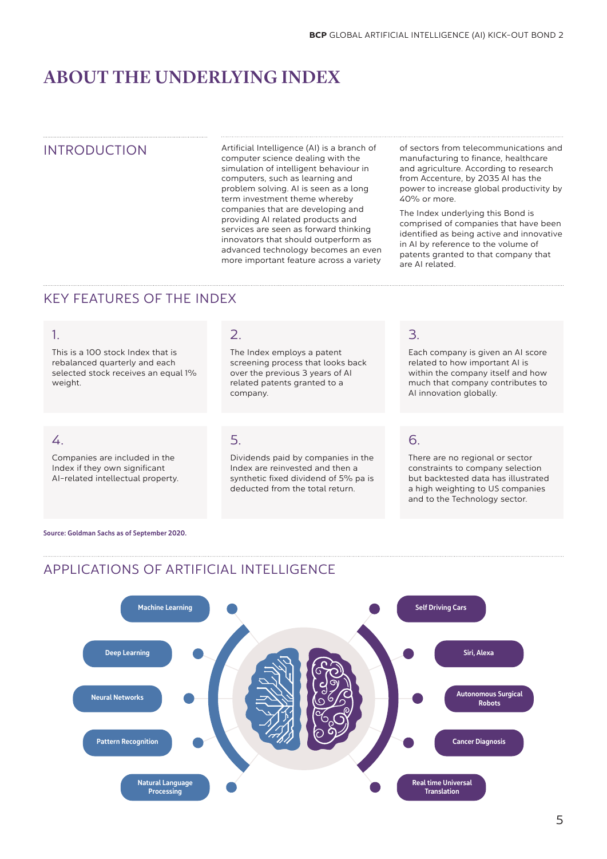# ABOUT THE UNDERLYING INDEX

INTRODUCTION Artificial Intelligence (AI) is a branch of computer science dealing with the simulation of intelligent behaviour in computers, such as learning and problem solving. AI is seen as a long term investment theme whereby companies that are developing and providing AI related products and services are seen as forward thinking innovators that should outperform as advanced technology becomes an even more important feature across a variety

of sectors from telecommunications and manufacturing to finance, healthcare and agriculture. According to research from Accenture, by 2035 AI has the power to increase global productivity by 40% or more.

The Index underlying this Bond is comprised of companies that have been identified as being active and innovative in AI by reference to the volume of patents granted to that company that are AI related.

### KEY FEATURES OF THE INDEX

### 1.

This is a 100 stock Index that is rebalanced quarterly and each selected stock receives an equal 1% weight.

### 2.

The Index employs a patent screening process that looks back over the previous 3 years of AI related patents granted to a company.

### 4.

Companies are included in the Index if they own significant AI-related intellectual property.

### 5.

Dividends paid by companies in the Index are reinvested and then a synthetic fixed dividend of 5% pa is deducted from the total return.

### 3.

Each company is given an AI score related to how important AI is within the company itself and how much that company contributes to AI innovation globally.

### 6.

There are no regional or sector constraints to company selection but backtested data has illustrated a high weighting to US companies and to the Technology sector.

Source: Goldman Sachs as of September 2020.



### APPLICATIONS OF ARTIFICIAL INTELLIGENCE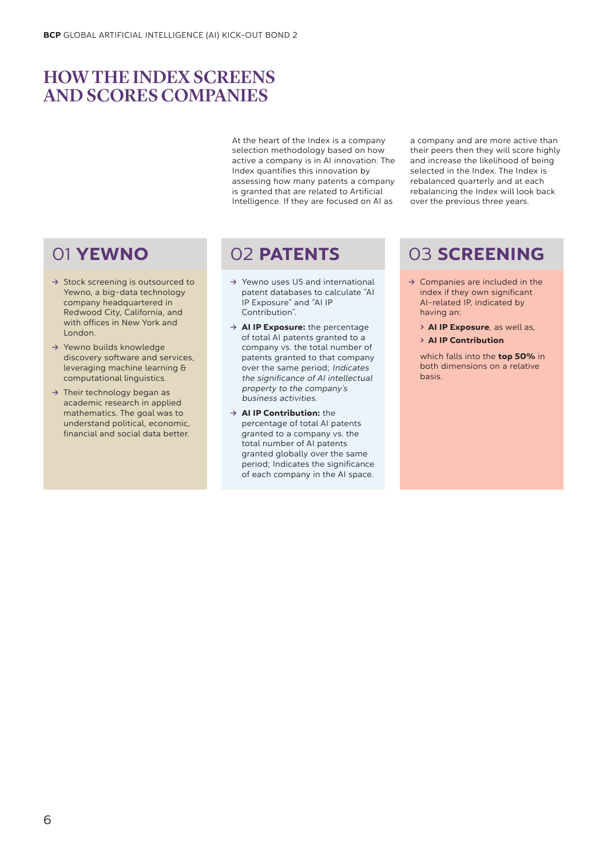# HOW THE INDEX SCREENS AND SCORES COMPANIES

At the heart of the Index is a company selection methodology based on how active a company is in AI innovation. The Index quantifies this innovation by assessing how many patents a company is granted that are related to Artificial Intelligence. If they are focused on AI as

a company and are more active than their peers then they will score highly and increase the likelihood of being selected in the Index. The Index is rebalanced quarterly and at each rebalancing the Index will look back over the previous three years.

- → Stock screening is outsourced to Yewno, a big-data technology company headquartered in Redwood City, California, and with offices in New York and London.
- **→** Yewno builds knowledge discovery software and services, leveraging machine learning & computational linguistics.
- → Their technology began as academic research in applied mathematics. The goal was to understand political, economic, financial and social data better.

- **Ò** Yewno uses US and international patent databases to calculate "AI IP Exposure" and "AI IP Contribution".
- **→ AI IP Exposure:** the percentage of total AI patents granted to a company vs. the total number of patents granted to that company over the same period; Indicates the significance of AI intellectual property to the company's business activities.
- **→ AI IP Contribution:** the percentage of total AI patents granted to a company vs. the total number of AI patents granted globally over the same period; Indicates the significance of each company in the AI space.

# 01 YEWNO 02 PATENTS 03 SCREENING

- **→ Companies are included in the** index if they own significant AI-related IP, indicated by having an:
	- > AI IP Exposure, as well as,
	- > AI IP Contribution

which falls into the **top 50%** in both dimensions on a relative basis.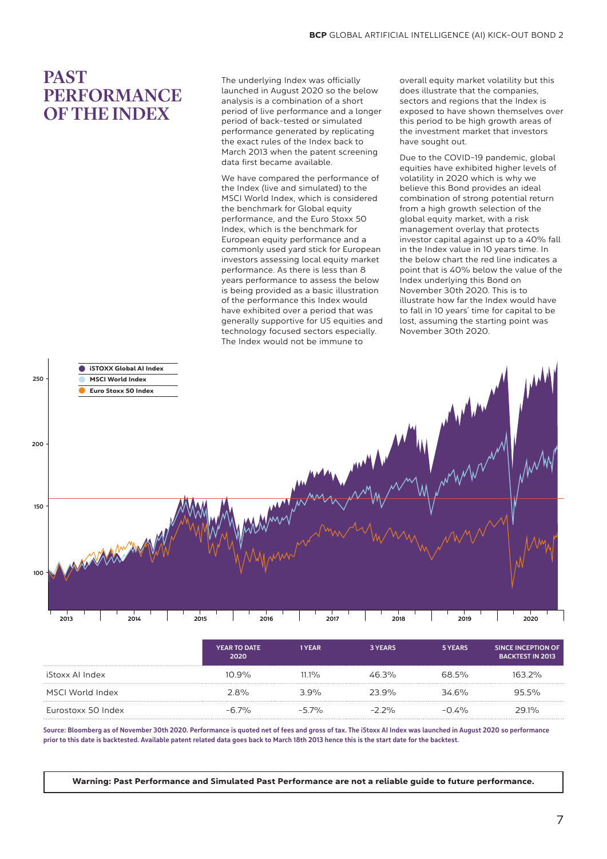## PAST PERFORMANCE OF THE INDEX

The underlying Index was officially launched in August 2020 so the below analysis is a combination of a short period of live performance and a longer period of back-tested or simulated performance generated by replicating the exact rules of the Index back to March 2013 when the patent screening data first became available.

We have compared the performance of the Index (live and simulated) to the MSCI World Index, which is considered the benchmark for Global equity performance, and the Euro Stoxx 50 .<br>Index, which is the benchmark for European equity performance and a commonly used yard stick for European investors assessing local equity market performance. As there is less than 8 years performance to assess the below is being provided as a basic illustration of the performance this Index would have exhibited over a period that was generally supportive for US equities and technology focused sectors especially. The Index would not be immune to

overall equity market volatility but this does illustrate that the companies, sectors and regions that the Index is exposed to have shown themselves over this period to be high growth areas of the investment market that investors have sought out.

Due to the COVID-19 pandemic, global equities have exhibited higher levels of volatility in 2020 which is why we believe this Bond provides an ideal combination of strong potential return from a high growth selection of the global equity market, with a risk management overlay that protects investor capital against up to a 40% fall in the Index value in 10 years time. In the below chart the red line indicates a point that is 40% below the value of the Index underlying this Bond on November 30th 2020. This is to illustrate how far the Index would have to fall in 10 years' time for capital to be lost, assuming the starting point was November 30th 2020.



|                    | <b>YEAR TO DATE</b><br>2020 | 1 YEAR  | 3 YEARS  | 5 YEARS  | SINCE INCEPTION OF<br><b>BACKTEST IN 2013</b> |
|--------------------|-----------------------------|---------|----------|----------|-----------------------------------------------|
| iStoxx Al Index    | $10.9\%$                    | $111\%$ | 46.3%    | 68.5%    | 163 2%                                        |
| MSCI World Index   | 28%                         | 39%     | 23.9%    | 346%     | 95.5%                                         |
| Eurostoxx 50 Index | $-6.7\%$                    | $-57\%$ | $-2.2\%$ | $-0.4\%$ | 29.1%                                         |

Source: Bloomberg as of November 30th 2020. Performance is quoted net of fees and gross of tax. The iStoxx AI Index was launched in August 2020 so performance prior to this date is backtested. Available patent related data goes back to March 18th 2013 hence this is the start date for the backtest.

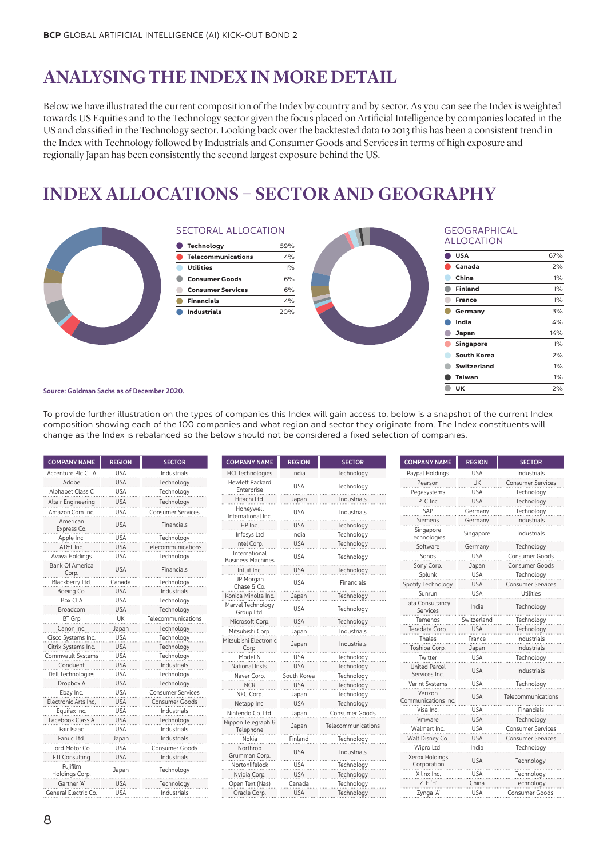# ANALYSING THE INDEX IN MORE DETAIL

Below we have illustrated the current composition of the Index by country and by sector. As you can see the Index is weighted towards US Equities and to the Technology sector given the focus placed on Artificial Intelligence by companies located in the US and classified in the Technology sector. Looking back over the backtested data to 2013 this has been a consistent trend in the Index with Technology followed by Industrials and Consumer Goods and Services in terms of high exposure and regionally Japan has been consistently the second largest exposure behind the US.

# INDEX ALLOCATIONS – SECTOR AND GEOGRAPHY



### SECTORAL ALLOCATION

| C Technology              | 59%   |
|---------------------------|-------|
| <b>Telecommunications</b> | 4%    |
| <b>Utilities</b>          | 10/2  |
| <b>Consumer Goods</b>     | 6%    |
| <b>Consumer Services</b>  | 6%    |
| <b>Financials</b>         | 1.0/2 |
| <b>Industrials</b>        | 20%   |
|                           |       |



#### **GEOGRAPHICAL** ALLOCATION

| <b>USA</b>         | 67%   |
|--------------------|-------|
| Canada             | 2%    |
| China              | $1\%$ |
| <b>Finland</b>     | $1\%$ |
| <b>France</b>      | $1\%$ |
| Germany            | 3%    |
| India              | 4%    |
| Japan              | 14%   |
| Singapore          | $1\%$ |
| South Korea        | 2%    |
| <b>Switzerland</b> | $1\%$ |
| <b>Taiwan</b>      | $1\%$ |
| UK                 | 2%    |
|                    |       |

#### Source: Goldman Sachs as of December 2020.

To provide further illustration on the types of companies this Index will gain access to, below is a snapshot of the current Index composition showing each of the 100 companies and what region and sector they originate from. The Index constituents will change as the Index is rebalanced so the below should not be considered a fixed selection of companies.

| <b>COMPANY NAME</b>             | <b>REGION</b> | <b>SECTOR</b>            |
|---------------------------------|---------------|--------------------------|
| Accenture Plc CL A              | <b>USA</b>    | Industrials              |
| Adobe                           | <b>USA</b>    | Technology               |
| Alphabet Class C                | USA           | Technology               |
| <b>Altair Engineering</b>       | <b>USA</b>    | Technology               |
| Amazon.Com Inc.                 | <b>USA</b>    | <b>Consumer Services</b> |
| American<br>Express Co.         | <b>USA</b>    | Financials               |
| Apple Inc.                      | USA           | Technology               |
| AT&T Inc.                       | <b>USA</b>    | Telecommunications       |
| Avaya Holdings                  | <b>USA</b>    | Technology               |
| <b>Bank Of America</b><br>Corp. | <b>USA</b>    | Financials               |
| Blackberry Ltd.                 | Canada        | Technology               |
| Boeing Co.                      | <b>USA</b>    | Industrials              |
| Box Cl.A                        | <b>USA</b>    | Technology               |
| Broadcom                        | <b>USA</b>    | Technology               |
| <b>BT</b> Grp                   | UK            | Telecommunications       |
| Canon Inc.                      | Japan         | Technology               |
| Cisco Systems Inc.              | USA           | Technology               |
| Citrix Systems Inc.             | <b>USA</b>    | Technology               |
| Commvault Systems               | USA           | Technology               |
| Conduent                        | USA           | Industrials              |
| Dell Technologies               | USA           | Technology               |
| Dropbox A                       | USA           | Technology               |
| Ebay Inc.                       | USA           | <b>Consumer Services</b> |
| Electronic Arts Inc.            | USA           | <b>Consumer Goods</b>    |
| Equifax Inc.                    | USA           | Industrials              |
| Facebook Class A                | <b>USA</b>    | Technology               |
| Fair Isaac                      | USA           | Industrials              |
| Fanuc Ltd.                      | Japan         | Industrials              |
| Ford Motor Co.                  | USA           | <b>Consumer Goods</b>    |
| FTI Consulting                  | <b>USA</b>    | Industrials              |
| Fujifilm<br>Holdings Corp.      | Japan         | Technology               |
| Gartner 'A'                     | <b>USA</b>    | Technology               |
| General Electric Co.            | USA           | Industrials              |

| <b>COMPANY NAME</b><br><b>REGION</b>      |             | <b>SECTOR</b>      |
|-------------------------------------------|-------------|--------------------|
| <b>HCI Technologies</b>                   | India       | Technology         |
| <b>Hewlett Packard</b><br>Enterprise      | <b>USA</b>  | Technology         |
| Hitachi Ltd.                              | Japan       | Industrials        |
| Honeywell<br>International Inc.           | <b>USA</b>  | Industrials        |
| HP Inc.                                   | USA         | Technology         |
| Infosys Ltd                               | India       | Technology         |
| Intel Corp.                               | USA         | Technology         |
| International<br><b>Business Machines</b> | <b>USA</b>  | Technology         |
| Intuit Inc.                               | <b>USA</b>  | Technology         |
| JP Morgan<br>Chase & Co.                  | <b>USA</b>  | Financials         |
| Konica Minolta Inc.                       | Japan       | Technology         |
| Marvel Technology<br>Group Ltd.           | <b>USA</b>  | Technology         |
| Microsoft Corp.                           | <b>USA</b>  | Technology         |
| Mitsubishi Corp.                          | Japan       | Industrials        |
| Mitsubishi Electronic<br>Corp.            | Japan       | Industrials        |
| Model N                                   | USA         | Technology         |
| National Insts.                           | <b>USA</b>  | Technology         |
| Naver Corp.                               | South Korea | Technology         |
| <b>NCR</b>                                | USA         | Technology         |
| NEC Corp.                                 | Japan       | Technology         |
| Netapp Inc.                               | USA         | Technology         |
| Nintendo Co. Ltd.                         | Japan       | Consumer Goods     |
| Nippon Telegraph &<br>Telephone           | Japan       | Telecommunications |
| Nokia                                     | Finland     | Technology         |
| Northrop<br>Grumman Corp.                 | <b>USA</b>  | Industrials        |
| Nortonlifelock                            | <b>USA</b>  | Technology         |
| Nvidia Corp.                              | <b>USA</b>  | Technology         |
| Open Text (Nas)                           | Canada      | Technology         |
| Oracle Corp.                              | <b>USA</b>  | Technology         |

| <b>COMPANY NAME</b>                   | <b>REGION</b> | <b>SECTOR</b>            |
|---------------------------------------|---------------|--------------------------|
| Paypal Holdings                       | <b>USA</b>    | Industrials              |
| Pearson                               | UK            | <b>Consumer Services</b> |
| Pegasystems                           | USA           | Technology               |
| PTC Inc                               | <b>USA</b>    | Technology               |
| SAP                                   | Germany       | Technology               |
| Siemens                               | Germany       | Industrials              |
| Singapore<br>Technologies             | Singapore     | Industrials              |
| Software                              | Germany       | Technology               |
| Sonos                                 | <b>USA</b>    | Consumer Goods           |
| Sony Corp.                            | Japan         | Consumer Goods           |
| Splunk                                | <b>USA</b>    | Technology               |
| Spotify Technology                    | <b>USA</b>    | <b>Consumer Services</b> |
| Sunrun                                | <b>USA</b>    | Utilities                |
| Tata Consultancy<br>Services          | India         | Technology               |
| Temenos                               | Switzerland   | Technology               |
| Teradata Corp.                        | <b>USA</b>    | Technology               |
| Thales                                | France        | Industrials              |
| Toshiba Corp.                         | Japan         | Industrials              |
| Twitter                               | USA           | Technology               |
| <b>United Parcel</b><br>Services Inc. | <b>USA</b>    | Industrials              |
| Verint Systems                        | <b>USA</b>    | Technology               |
| Verizon<br>Communications Inc.        | <b>USA</b>    | Telecommunications       |
| Visa Inc.                             | <b>USA</b>    | Financials               |
| Vmware                                | <b>USA</b>    | Technology               |
| Walmart Inc.                          | <b>USA</b>    | Consumer Services        |
| Walt Disney Co.                       | <b>USA</b>    | <b>Consumer Services</b> |
| Wipro Ltd.                            | India         | Technology               |
| Xerox Holdings<br>Corporation         | <b>USA</b>    | Technology               |
| Xilinx Inc.                           | <b>USA</b>    | Technology               |
| ZTE 'H'                               | China         | Technology               |
| Zynga 'A'                             | USA           | Consumer Goods           |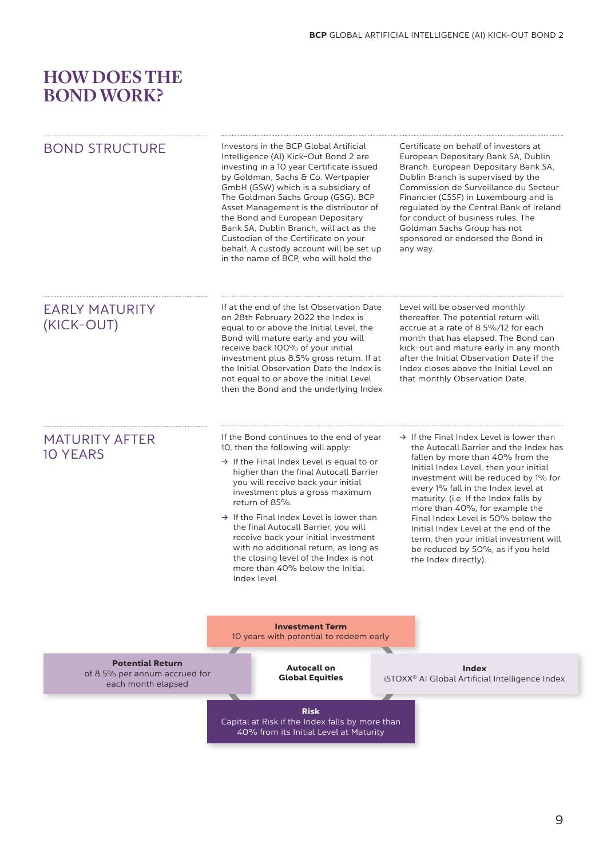# HOW DOES THE BOND WORK?

| <b>BOND STRUCTURE</b>                                                          | Investors in the BCP Global Artificial<br>Intelligence (AI) Kick-Out Bond 2 are<br>investing in a 10 year Certificate issued<br>by Goldman, Sachs & Co. Wertpapier<br>GmbH (GSW) which is a subsidiary of<br>The Goldman Sachs Group (GSG). BCP<br>Asset Management is the distributor of<br>the Bond and European Depositary<br>Bank SA, Dublin Branch, will act as the<br>Custodian of the Certificate on your<br>behalf. A custody account will be set up<br>in the name of BCP, who will hold the                                                     | Certificate on behalf of investors at<br>European Depositary Bank SA, Dublin<br>Branch. European Depositary Bank SA,<br>Dublin Branch is supervised by the<br>Commission de Surveillance du Secteur<br>Financier (CSSF) in Luxembourg and is<br>regulated by the Central Bank of Ireland<br>for conduct of business rules. The<br>Goldman Sachs Group has not<br>sponsored or endorsed the Bond in<br>any way.                                                                                                                |
|--------------------------------------------------------------------------------|-----------------------------------------------------------------------------------------------------------------------------------------------------------------------------------------------------------------------------------------------------------------------------------------------------------------------------------------------------------------------------------------------------------------------------------------------------------------------------------------------------------------------------------------------------------|-------------------------------------------------------------------------------------------------------------------------------------------------------------------------------------------------------------------------------------------------------------------------------------------------------------------------------------------------------------------------------------------------------------------------------------------------------------------------------------------------------------------------------|
| <b>EARLY MATURITY</b><br>(KICK-OUT)                                            | If at the end of the 1st Observation Date<br>on 28th February 2022 the Index is<br>equal to or above the Initial Level, the<br>Bond will mature early and you will<br>receive back 100% of your initial<br>investment plus 8.5% gross return. If at<br>the Initial Observation Date the Index is<br>not equal to or above the Initial Level<br>then the Bond and the underlying Index                                                                                                                                                                     | Level will be observed monthly<br>thereafter. The potential return will<br>accrue at a rate of 8.5%/12 for each<br>month that has elapsed. The Bond can<br>kick-out and mature early in any month<br>after the Initial Observation Date if the<br>Index closes above the Initial Level on<br>that monthly Observation Date.                                                                                                                                                                                                   |
| <b>MATURITY AFTER</b><br><b>10 YEARS</b>                                       | If the Bond continues to the end of year<br>10, then the following will apply:<br>$\rightarrow$ If the Final Index Level is equal to or<br>higher than the final Autocall Barrier<br>you will receive back your initial<br>investment plus a gross maximum<br>return of 85%.<br>$\rightarrow$ If the Final Index Level is lower than<br>the final Autocall Barrier, you will<br>receive back your initial investment<br>with no additional return, as long as<br>the closing level of the Index is not<br>more than 40% below the Initial<br>Index level. | $\rightarrow$ If the Final Index Level is lower than<br>the Autocall Barrier and the Index has<br>fallen by more than 40% from the<br>Initial Index Level, then your initial<br>investment will be reduced by 1% for<br>every 1% fall in the Index level at<br>maturity. (i.e. If the Index falls by<br>more than 40%, for example the<br>Final Index Level is 50% below the<br>Initial Index Level at the end of the<br>term, then your initial investment will<br>be reduced by 50%, as if you held<br>the Index directly). |
|                                                                                | <b>Investment Term</b><br>10 years with potential to redeem early                                                                                                                                                                                                                                                                                                                                                                                                                                                                                         |                                                                                                                                                                                                                                                                                                                                                                                                                                                                                                                               |
| <b>Potential Return</b><br>of 8.5% per annum accrued for<br>each month elapsed | <b>Autocall on</b><br><b>Global Equities</b>                                                                                                                                                                                                                                                                                                                                                                                                                                                                                                              | <b>Index</b><br>iSTOXX <sup>®</sup> Al Global Artificial Intelligence Index                                                                                                                                                                                                                                                                                                                                                                                                                                                   |
|                                                                                | <b>Risk</b><br>Capital at Risk if the Index falls by more than<br>40% from its Initial Level at Maturity                                                                                                                                                                                                                                                                                                                                                                                                                                                  |                                                                                                                                                                                                                                                                                                                                                                                                                                                                                                                               |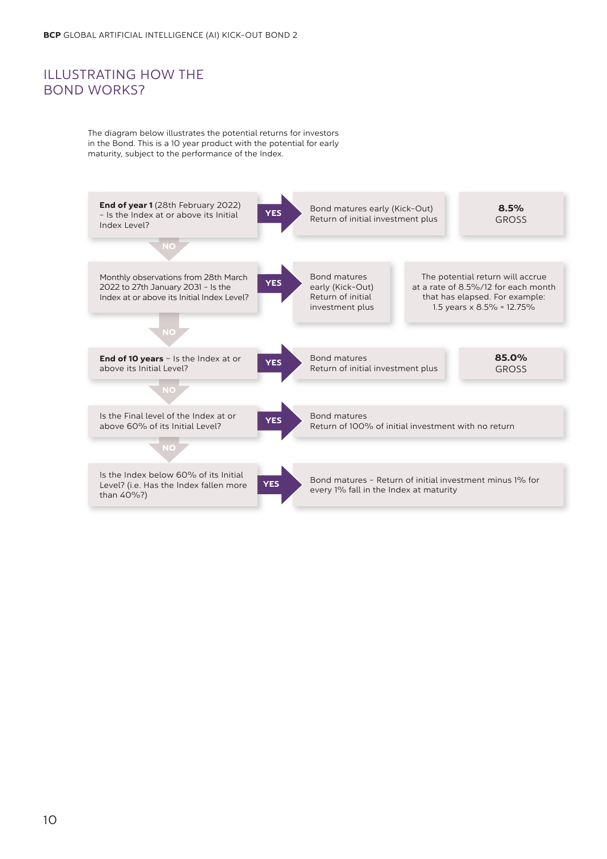### ILLUSTRATING HOW THE BOND WORKS?

The diagram below illustrates the potential returns for investors in the Bond. This is a 10 year product with the potential for early maturity, subject to the performance of the Index.

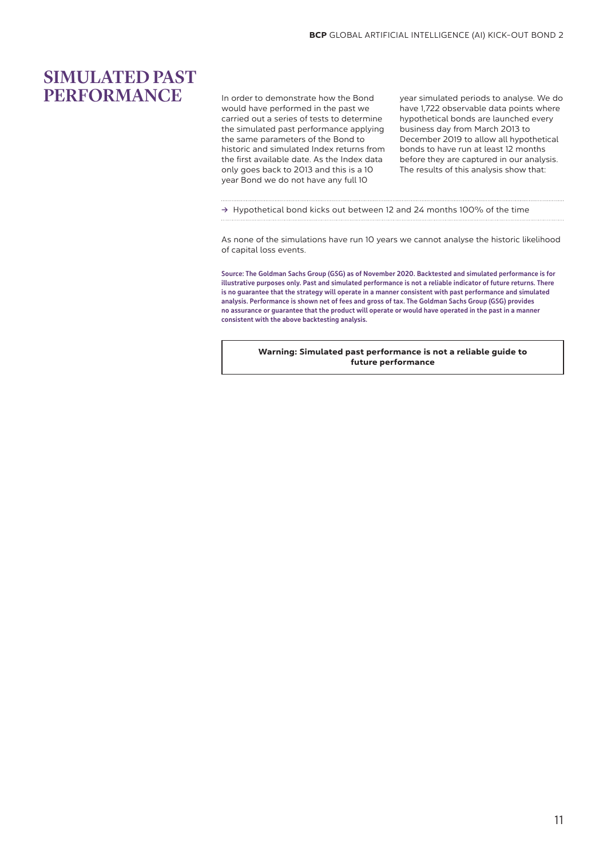## SIMULATED PAST PERFORMANCE

In order to demonstrate how the Bond would have performed in the past we carried out a series of tests to determine the simulated past performance applying the same parameters of the Bond to historic and simulated Index returns from the first available date. As the Index data only goes back to 2013 and this is a 10 year Bond we do not have any full 10

year simulated periods to analyse. We do have 1,722 observable data points where hypothetical bonds are launched every business day from March 2013 to December 2019 to allow all hypothetical bonds to have run at least 12 months before they are captured in our analysis. The results of this analysis show that:

**Ò** Hypothetical bond kicks out between 12 and 24 months 100% of the time

As none of the simulations have run 10 years we cannot analyse the historic likelihood of capital loss events.

Source: The Goldman Sachs Group (GSG) as of November 2020. Backtested and simulated performance is for illustrative purposes only. Past and simulated performance is not a reliable indicator of future returns. There is no guarantee that the strategy will operate in a manner consistent with past performance and simulated analysis. Performance is shown net of fees and gross of tax. The Goldman Sachs Group (GSG) provides no assurance or guarantee that the product will operate or would have operated in the past in a manner consistent with the above backtesting analysis.

Warning: Simulated past performance is not a reliable guide to future performance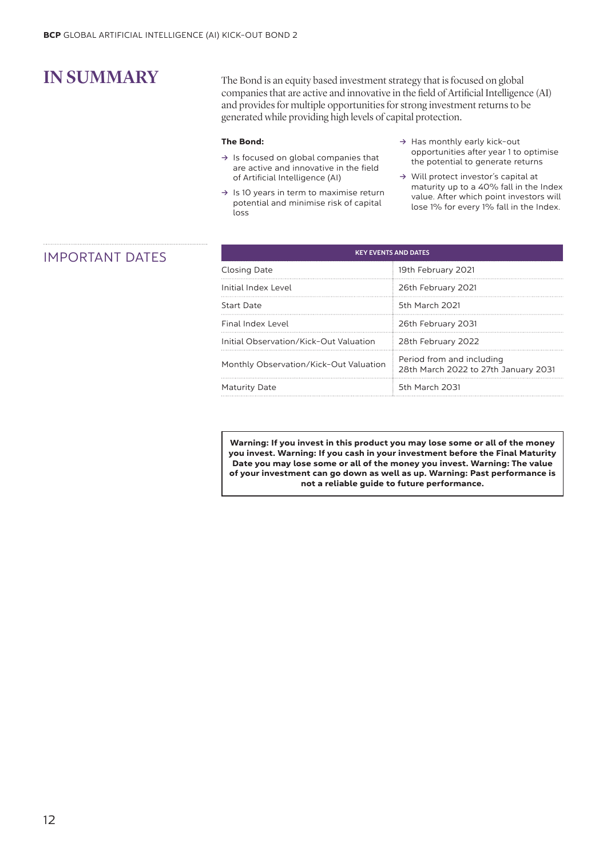IN SUMMARY The Bond is an equity based investment strategy that is focused on global companies that are active and innovative in the field of Artificial Intelligence (AI) and provides for multiple opportunities for strong investment returns to be generated while providing high levels of capital protection.

### The Bond:

- **Ò** Is focused on global companies that are active and innovative in the field of Artificial Intelligence (AI)
- **Ò** Is 10 years in term to maximise return potential and minimise risk of capital loss
- → Has monthly early kick-out opportunities after year 1 to optimise the potential to generate returns
- **Ò** Will protect investor's capital at maturity up to a 40% fall in the Index value. After which point investors will lose 1% for every 1% fall in the Index.

### **IMPORTANT DATES**

| <b>KEY EVENTS AND DATES</b>            |                                                                   |  |  |
|----------------------------------------|-------------------------------------------------------------------|--|--|
| Closing Date                           | 19th February 2021                                                |  |  |
| Initial Index Level                    | 26th February 2021                                                |  |  |
| Start Date                             | 5th March 2021                                                    |  |  |
| Final Index Level                      | 26th February 2031                                                |  |  |
| Initial Observation/Kick-Out Valuation | 28th February 2022                                                |  |  |
| Monthly Observation/Kick-Out Valuation | Period from and including<br>28th March 2022 to 27th January 2031 |  |  |
| Maturity Date                          | 5th March 2031                                                    |  |  |

Warning: If you invest in this product you may lose some or all of the money you invest. Warning: If you cash in your investment before the Final Maturity Date you may lose some or all of the money you invest. Warning: The value of your investment can go down as well as up. Warning: Past performance is not a reliable guide to future performance.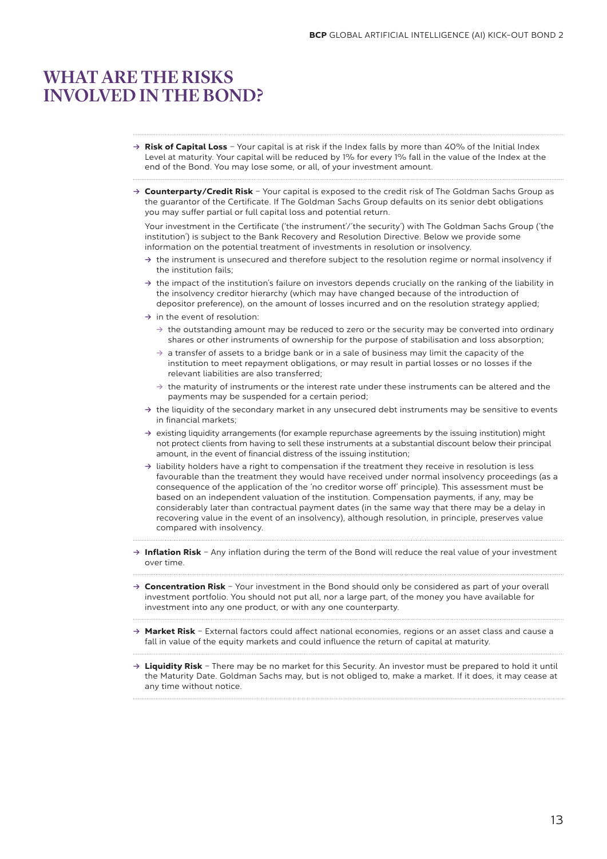## WHAT ARE THE RISKS INVOLVED IN THE BOND?

- → Risk of Capital Loss Your capital is at risk if the Index falls by more than 40% of the Initial Index Level at maturity. Your capital will be reduced by 1% for every 1% fall in the value of the Index at the end of the Bond. You may lose some, or all, of your investment amount.
- → **Counterparty/Credit Risk** Your capital is exposed to the credit risk of The Goldman Sachs Group as the guarantor of the Certificate. If The Goldman Sachs Group defaults on its senior debt obligations you may suffer partial or full capital loss and potential return.

Your investment in the Certificate ('the instrument'/'the security') with The Goldman Sachs Group ('the institution') is subject to the Bank Recovery and Resolution Directive. Below we provide some information on the potential treatment of investments in resolution or insolvency.

- **Ò** the instrument is unsecured and therefore subject to the resolution regime or normal insolvency if the institution fails;
- **Ò** the impact of the institution's failure on investors depends crucially on the ranking of the liability in the insolvency creditor hierarchy (which may have changed because of the introduction of depositor preference), on the amount of losses incurred and on the resolution strategy applied;
- → in the event of resolution:
	- **Ò** the outstanding amount may be reduced to zero or the security may be converted into ordinary shares or other instruments of ownership for the purpose of stabilisation and loss absorption;
	- **Ò** a transfer of assets to a bridge bank or in a sale of business may limit the capacity of the institution to meet repayment obligations, or may result in partial losses or no losses if the relevant liabilities are also transferred;
	- **Ò** the maturity of instruments or the interest rate under these instruments can be altered and the payments may be suspended for a certain period;
- **Ò** the liquidity of the secondary market in any unsecured debt instruments may be sensitive to events in financial markets;
- **Ò** existing liquidity arrangements (for example repurchase agreements by the issuing institution) might not protect clients from having to sell these instruments at a substantial discount below their principal amount, in the event of financial distress of the issuing institution;
- **Ò** liability holders have a right to compensation if the treatment they receive in resolution is less favourable than the treatment they would have received under normal insolvency proceedings (as a consequence of the application of the 'no creditor worse off' principle). This assessment must be based on an independent valuation of the institution. Compensation payments, if any, may be considerably later than contractual payment dates (in the same way that there may be a delay in recovering value in the event of an insolvency), although resolution, in principle, preserves value compared with insolvency.
- → Inflation Risk Any inflation during the term of the Bond will reduce the real value of your investment over time.
- → **Concentration Risk** Your investment in the Bond should only be considered as part of your overall investment portfolio. You should not put all, nor a large part, of the money you have available for investment into any one product, or with any one counterparty.
- **Ò** Market Risk External factors could affect national economies, regions or an asset class and cause a fall in value of the equity markets and could influence the return of capital at maturity.
- → Liquidity Risk There may be no market for this Security. An investor must be prepared to hold it until the Maturity Date. Goldman Sachs may, but is not obliged to, make a market. If it does, it may cease at any time without notice.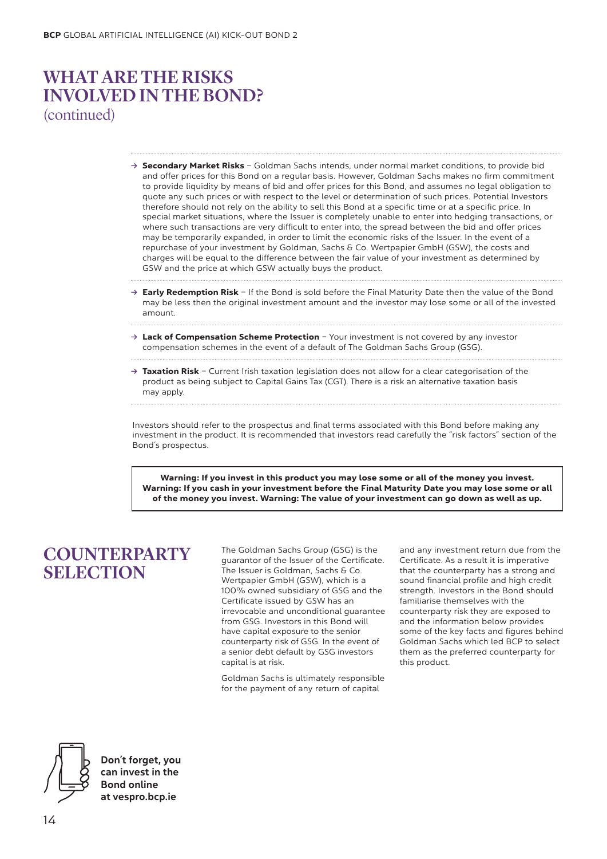# WHAT ARE THE RISKS INVOLVED IN THE BOND? (continued)

- **→ Secondary Market Risks** Goldman Sachs intends, under normal market conditions, to provide bid and offer prices for this Bond on a regular basis. However, Goldman Sachs makes no firm commitment to provide liquidity by means of bid and offer prices for this Bond, and assumes no legal obligation to quote any such prices or with respect to the level or determination of such prices. Potential Investors therefore should not rely on the ability to sell this Bond at a specific time or at a specific price. In special market situations, where the Issuer is completely unable to enter into hedging transactions, or where such transactions are very difficult to enter into, the spread between the bid and offer prices may be temporarily expanded, in order to limit the economic risks of the Issuer. In the event of a repurchase of your investment by Goldman, Sachs & Co. Wertpapier GmbH (GSW), the costs and charges will be equal to the difference between the fair value of your investment as determined by GSW and the price at which GSW actually buys the product.
- → **Early Redemption Risk** If the Bond is sold before the Final Maturity Date then the value of the Bond may be less then the original investment amount and the investor may lose some or all of the invested amount.
- → Lack of Compensation Scheme Protection Your investment is not covered by any investor compensation schemes in the event of a default of The Goldman Sachs Group (GSG).
- → Taxation Risk Current Irish taxation legislation does not allow for a clear categorisation of the product as being subject to Capital Gains Tax (CGT). There is a risk an alternative taxation basis may apply.

Investors should refer to the prospectus and final terms associated with this Bond before making any investment in the product. It is recommended that investors read carefully the "risk factors" section of the Bond's prospectus.

Warning: If you invest in this product you may lose some or all of the money you invest. Warning: If you cash in your investment before the Final Maturity Date you may lose some or all of the money you invest. Warning: The value of your investment can go down as well as up.

# **COUNTERPARTY SELECTION**

The Goldman Sachs Group (GSG) is the guarantor of the Issuer of the Certificate. The Issuer is Goldman, Sachs & Co. Wertpapier GmbH (GSW), which is a 100% owned subsidiary of GSG and the Certificate issued by GSW has an irrevocable and unconditional guarantee from GSG. Investors in this Bond will have capital exposure to the senior counterparty risk of GSG. In the event of a senior debt default by GSG investors capital is at risk.

Goldman Sachs is ultimately responsible for the payment of any return of capital

and any investment return due from the Certificate. As a result it is imperative that the counterparty has a strong and sound financial profile and high credit strength. Investors in the Bond should familiarise themselves with the counterparty risk they are exposed to and the information below provides some of the key facts and figures behind Goldman Sachs which led BCP to select them as the preferred counterparty for this product.

Don't forget, you can invest in the Bond online at vespro.bcp.ie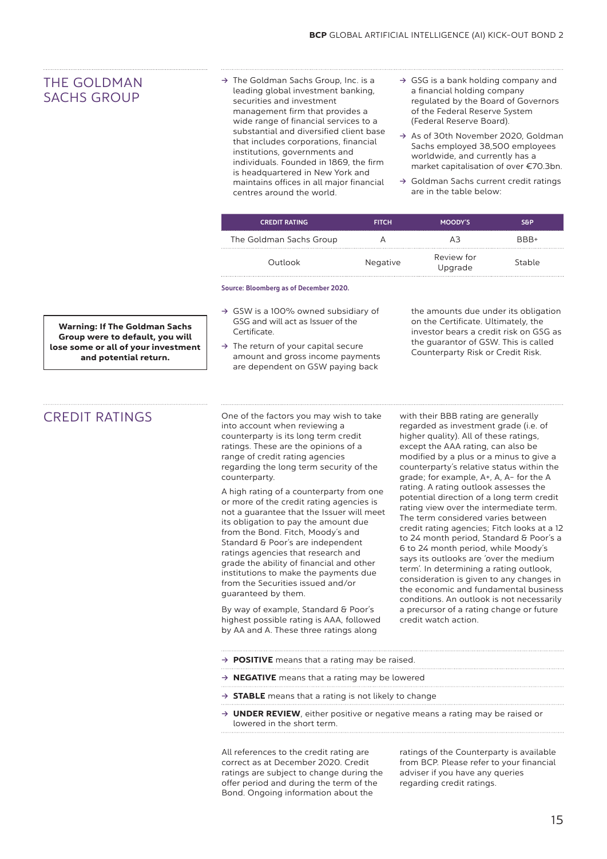### THE GOLDMAN SACHS GROUP

- **Ò** The Goldman Sachs Group, Inc. is a leading global investment banking, securities and investment management firm that provides a wide range of financial services to a substantial and diversified client base that includes corporations, financial institutions, governments and individuals. Founded in 1869, the firm is headquartered in New York and maintains offices in all major financial centres around the world.
- **Ò** GSG is a bank holding company and a financial holding company regulated by the Board of Governors of the Federal Reserve System (Federal Reserve Board).
- **Ò** As of 30th November 2020, Goldman Sachs employed 38,500 employees worldwide, and currently has a market capitalisation of over €70.3bn.
- **Ò** Goldman Sachs current credit ratings are in the table below:

| <b>CREDIT RATING</b>    | <b>FITCH</b> | MOODY'S               | S&P    |
|-------------------------|--------------|-----------------------|--------|
| The Goldman Sachs Group |              |                       | RRR+   |
| Outlook                 | Negative     | Review for<br>Upgrade | Stable |

Source: Bloomberg as of December 2020.

- **Ò** GSW is a 100% owned subsidiary of GSG and will act as Issuer of the Certificate.
- **Ò** The return of your capital secure amount and gross income payments are dependent on GSW paying back

the amounts due under its obligation on the Certificate. Ultimately, the investor bears a credit risk on GSG as the guarantor of GSW. This is called Counterparty Risk or Credit Risk.

Warning: If The Goldman Sachs Group were to default, you will lose some or all of your investment and potential return.

CREDIT RATINGS One of the factors you may wish to take into account when reviewing a counterparty is its long term credit ratings. These are the opinions of a range of credit rating agencies regarding the long term security of the counterparty.

> A high rating of a counterparty from one or more of the credit rating agencies is not a guarantee that the Issuer will meet its obligation to pay the amount due from the Bond. Fitch, Moody's and Standard & Poor's are independent ratings agencies that research and grade the ability of financial and other institutions to make the payments due from the Securities issued and/or guaranteed by them.

By way of example, Standard & Poor's highest possible rating is AAA, followed by AA and A. These three ratings along

with their BBB rating are generally regarded as investment grade (i.e. of higher quality). All of these ratings, except the AAA rating, can also be modified by a plus or a minus to give a counterparty's relative status within the grade; for example, A+, A, A- for the A rating. A rating outlook assesses the potential direction of a long term credit rating view over the intermediate term. The term considered varies between credit rating agencies; Fitch looks at a 12 to 24 month period, Standard & Poor's a 6 to 24 month period, while Moody's says its outlooks are 'over the medium term'. In determining a rating outlook, consideration is given to any changes in the economic and fundamental business conditions. An outlook is not necessarily a precursor of a rating change or future credit watch action.

- → **POSITIVE** means that a rating may be raised.
- → **NEGATIVE** means that a rating may be lowered
- **→ STABLE** means that a rating is not likely to change
- → **UNDER REVIEW**, either positive or negative means a rating may be raised or lowered in the short term.

All references to the credit rating are correct as at December 2020. Credit ratings are subject to change during the offer period and during the term of the Bond. Ongoing information about the

ratings of the Counterparty is available from BCP. Please refer to your financial adviser if you have any queries regarding credit ratings.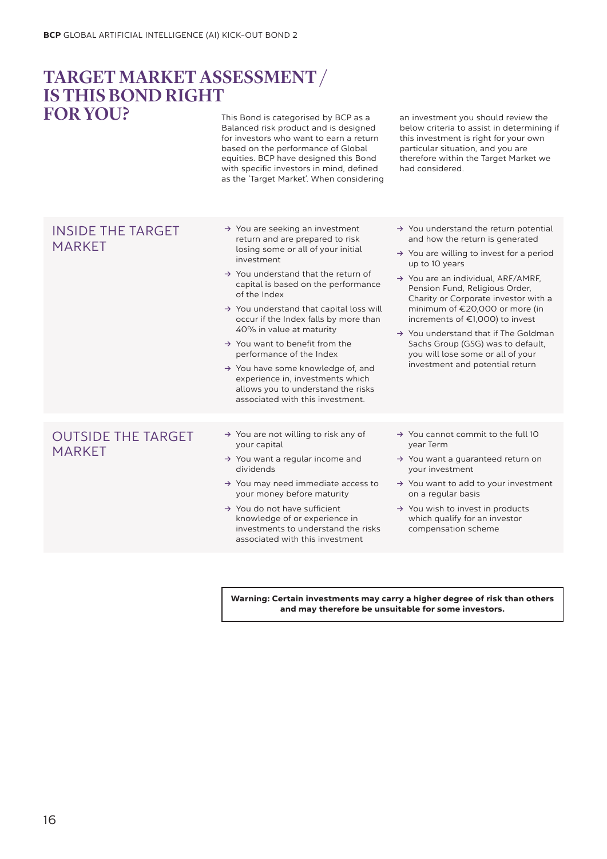### This Bond is categorised by BCP as a TARGET MARKETASSESSMENT / IS THIS BOND RIGHT FORYOU?

Balanced risk product and is designed for investors who want to earn a return based on the performance of Global equities. BCP have designed this Bond with specific investors in mind, defined as the 'Target Market'. When considering an investment you should review the below criteria to assist in determining if this investment is right for your own particular situation, and you are therefore within the Target Market we had considered.

### INSIDE THE TARGET MARKET

- **→** You are seeking an investment return and are prepared to risk losing some or all of your initial investment
- **Ò** You understand that the return of capital is based on the performance of the Index
- **Ò** You understand that capital loss will occur if the Index falls by more than 40% in value at maturity
- **→** You want to benefit from the performance of the Index
- **Ò** You have some knowledge of, and experience in, investments which allows you to understand the risks associated with this investment.
- **Ò** You understand the return potential and how the return is generated
- **Ò** You are willing to invest for a period up to 10 years
- **Ò** You are an individual, ARF/AMRF, Pension Fund, Religious Order, Charity or Corporate investor with a minimum of €20,000 or more (in increments of €1,000) to invest
- **Ò** You understand that if The Goldman Sachs Group (GSG) was to default, you will lose some or all of your investment and potential return

### OUTSIDE THE TARGET MARKET

- **Ò** You are not willing to risk any of your capital
- → You want a regular income and dividends
- **Ò** You may need immediate access to your money before maturity
- → You do not have sufficient knowledge of or experience in investments to understand the risks associated with this investment
- → You cannot commit to the full 10 year Term
- **→** You want a guaranteed return on your investment
- **Ò** You want to add to your investment on a regular basis
- **→** You wish to invest in products which qualify for an investor compensation scheme

Warning: Certain investments may carry a higher degree of risk than others and may therefore be unsuitable for some investors.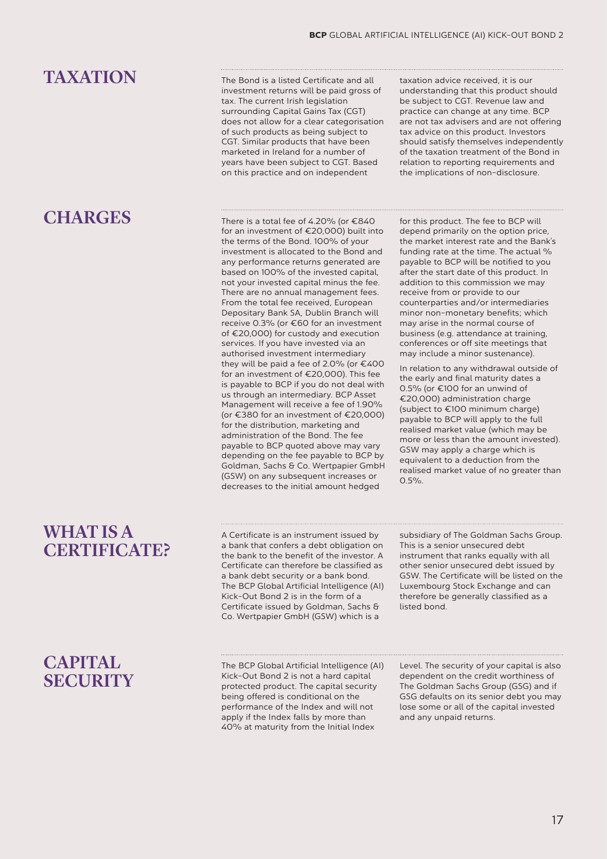# TAXATION

# **CHARGES**

## WHAT IS A CERTIFICATE?

**CAPITAL SECURITY** 

### The Bond is a listed Certificate and all investment returns will be paid gross of tax. The current Irish legislation surrounding Capital Gains Tax (CGT) does not allow for a clear categorisation of such products as being subject to CGT. Similar products that have been marketed in Ireland for a number of years have been subject to CGT. Based on this practice and on independent

There is a total fee of 4.20% (or €840 for an investment of €20,000) built into the terms of the Bond. 100% of your investment is allocated to the Bond and any performance returns generated are based on 100% of the invested capital, not your invested capital minus the fee. There are no annual management fees. From the total fee received, European Depositary Bank SA, Dublin Branch will receive 0.3% (or €60 for an investment of €20,000) for custody and execution services. If you have invested via an authorised investment intermediary they will be paid a fee of 2.0% (or €400 for an investment of €20,000). This fee is payable to BCP if you do not deal with us through an intermediary. BCP Asset Management will receive a fee of 1.90% (or €380 for an investment of €20,000) for the distribution, marketing and administration of the Bond. The fee payable to BCP quoted above may vary depending on the fee payable to BCP by Goldman, Sachs & Co. Wertpapier GmbH (GSW) on any subsequent increases or decreases to the initial amount hedged

A Certificate is an instrument issued by a bank that confers a debt obligation on the bank to the benefit of the investor. A Certificate can therefore be classified as a bank debt security or a bank bond. The BCP Global Artificial Intelligence (AI) Kick-Out Bond 2 is in the form of a Certificate issued by Goldman, Sachs & Co. Wertpapier GmbH (GSW) which is a

The BCP Global Artificial Intelligence (AI) Kick-Out Bond 2 is not a hard capital protected product. The capital security being offered is conditional on the performance of the Index and will not apply if the Index falls by more than 40% at maturity from the Initial Index

taxation advice received, it is our understanding that this product should be subject to CGT. Revenue law and practice can change at any time. BCP are not tax advisers and are not offering tax advice on this product. Investors should satisfy themselves independently of the taxation treatment of the Bond in relation to reporting requirements and the implications of non-disclosure.

for this product. The fee to BCP will depend primarily on the option price, the market interest rate and the Bank's funding rate at the time. The actual % payable to BCP will be notified to you after the start date of this product. In addition to this commission we may receive from or provide to our counterparties and/or intermediaries minor non-monetary benefits; which may arise in the normal course of business (e.g. attendance at training, conferences or off site meetings that may include a minor sustenance).

In relation to any withdrawal outside of the early and final maturity dates a 0.5% (or €100 for an unwind of €20,000) administration charge (subject to €100 minimum charge) payable to BCP will apply to the full realised market value (which may be more or less than the amount invested). GSW may apply a charge which is equivalent to a deduction from the realised market value of no greater than  $0.5\%$ 

subsidiary of The Goldman Sachs Group. This is a senior unsecured debt instrument that ranks equally with all other senior unsecured debt issued by GSW. The Certificate will be listed on the Luxembourg Stock Exchange and can therefore be generally classified as a listed bond.

Level. The security of your capital is also dependent on the credit worthiness of The Goldman Sachs Group (GSG) and if GSG defaults on its senior debt you may lose some or all of the capital invested and any unpaid returns.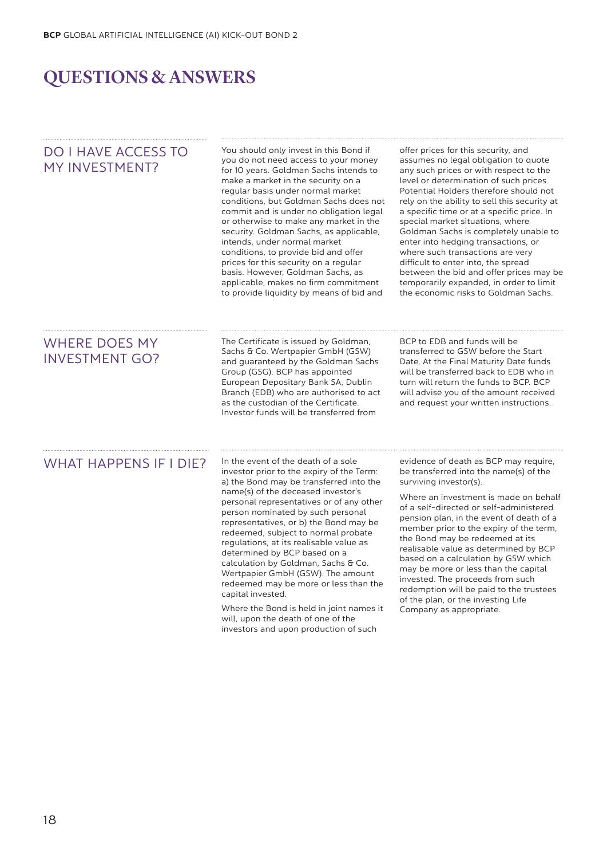# QUESTIONS & ANSWERS

| <b>DO I HAVE ACCESS TO</b><br>MY INVESTMENT?  | You should only invest in this Bond if<br>you do not need access to your money<br>for 10 years. Goldman Sachs intends to<br>make a market in the security on a<br>regular basis under normal market<br>conditions, but Goldman Sachs does not<br>commit and is under no obligation legal<br>or otherwise to make any market in the<br>security. Goldman Sachs, as applicable,<br>intends, under normal market<br>conditions, to provide bid and offer<br>prices for this security on a regular<br>basis. However, Goldman Sachs, as<br>applicable, makes no firm commitment<br>to provide liquidity by means of bid and                                                             | offer prices for this security, and<br>assumes no legal obligation to quote<br>any such prices or with respect to the<br>level or determination of such prices.<br>Potential Holders therefore should not<br>rely on the ability to sell this security at<br>a specific time or at a specific price. In<br>special market situations, where<br>Goldman Sachs is completely unable to<br>enter into hedging transactions, or<br>where such transactions are very<br>difficult to enter into, the spread<br>between the bid and offer prices may be<br>temporarily expanded, in order to limit<br>the economic risks to Goldman Sachs. |
|-----------------------------------------------|-------------------------------------------------------------------------------------------------------------------------------------------------------------------------------------------------------------------------------------------------------------------------------------------------------------------------------------------------------------------------------------------------------------------------------------------------------------------------------------------------------------------------------------------------------------------------------------------------------------------------------------------------------------------------------------|--------------------------------------------------------------------------------------------------------------------------------------------------------------------------------------------------------------------------------------------------------------------------------------------------------------------------------------------------------------------------------------------------------------------------------------------------------------------------------------------------------------------------------------------------------------------------------------------------------------------------------------|
| <b>WHERE DOES MY</b><br><b>INVESTMENT GO?</b> | The Certificate is issued by Goldman,<br>Sachs & Co. Wertpapier GmbH (GSW)<br>and quaranteed by the Goldman Sachs<br>Group (GSG). BCP has appointed<br>European Depositary Bank SA, Dublin<br>Branch (EDB) who are authorised to act<br>as the custodian of the Certificate.<br>Investor funds will be transferred from                                                                                                                                                                                                                                                                                                                                                             | BCP to EDB and funds will be<br>transferred to GSW before the Start<br>Date. At the Final Maturity Date funds<br>will be transferred back to EDB who in<br>turn will return the funds to BCP. BCP<br>will advise you of the amount received<br>and request your written instructions.                                                                                                                                                                                                                                                                                                                                                |
| <b>WHAT HAPPENS IF I DIE?</b>                 | In the event of the death of a sole<br>investor prior to the expiry of the Term:<br>a) the Bond may be transferred into the<br>name(s) of the deceased investor's<br>personal representatives or of any other<br>person nominated by such personal<br>representatives, or b) the Bond may be<br>redeemed, subject to normal probate<br>regulations, at its realisable value as<br>determined by BCP based on a<br>calculation by Goldman, Sachs & Co.<br>Wertpapier GmbH (GSW). The amount<br>redeemed may be more or less than the<br>capital invested.<br>Where the Bond is held in joint names it<br>will, upon the death of one of the<br>investors and upon production of such | evidence of death as BCP may require,<br>be transferred into the name(s) of the<br>surviving investor(s).<br>Where an investment is made on behalf<br>of a self-directed or self-administered<br>pension plan, in the event of death of a<br>member prior to the expiry of the term,<br>the Bond may be redeemed at its<br>realisable value as determined by BCP<br>based on a calculation by GSW which<br>may be more or less than the capital<br>invested. The proceeds from such<br>redemption will be paid to the trustees<br>of the plan, or the investing Life<br>Company as appropriate.                                      |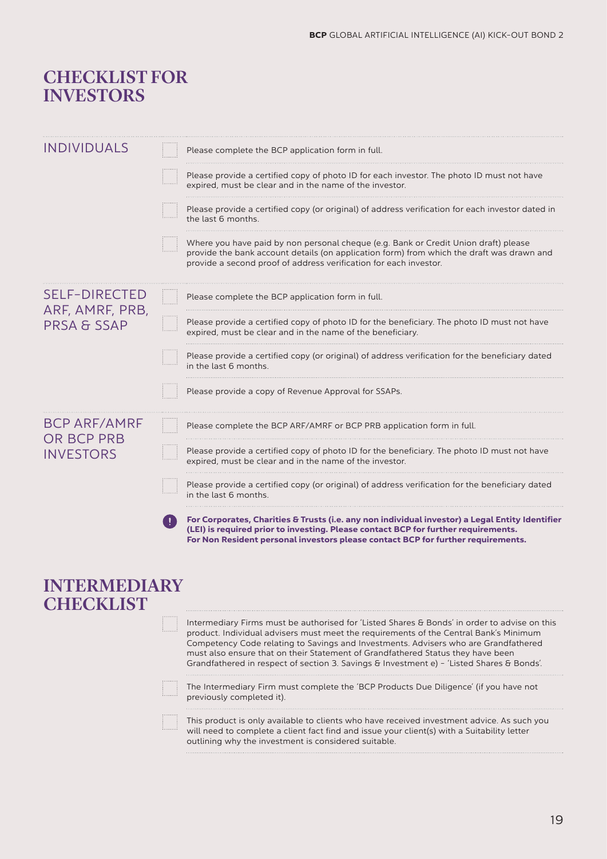## CHECKLIST FOR INVESTORS

| <b>INDIVIDUALS</b>                                                | Please complete the BCP application form in full.                                                                                                                                                                                                                              |
|-------------------------------------------------------------------|--------------------------------------------------------------------------------------------------------------------------------------------------------------------------------------------------------------------------------------------------------------------------------|
|                                                                   | Please provide a certified copy of photo ID for each investor. The photo ID must not have<br>expired, must be clear and in the name of the investor.                                                                                                                           |
|                                                                   | Please provide a certified copy (or original) of address verification for each investor dated in<br>the last 6 months.                                                                                                                                                         |
|                                                                   | Where you have paid by non personal cheque (e.g. Bank or Credit Union draft) please<br>provide the bank account details (on application form) from which the draft was drawn and<br>provide a second proof of address verification for each investor.                          |
| <b>SELF-DIRECTED</b><br>ARF, AMRF, PRB,<br><b>PRSA &amp; SSAP</b> | Please complete the BCP application form in full.                                                                                                                                                                                                                              |
|                                                                   | Please provide a certified copy of photo ID for the beneficiary. The photo ID must not have<br>expired, must be clear and in the name of the beneficiary.                                                                                                                      |
|                                                                   | Please provide a certified copy (or original) of address verification for the beneficiary dated<br>in the last 6 months.                                                                                                                                                       |
|                                                                   | Please provide a copy of Revenue Approval for SSAPs.                                                                                                                                                                                                                           |
| <b>BCP ARF/AMRF</b><br><b>OR BCP PRB</b><br><b>INVESTORS</b>      | Please complete the BCP ARF/AMRF or BCP PRB application form in full.                                                                                                                                                                                                          |
|                                                                   | Please provide a certified copy of photo ID for the beneficiary. The photo ID must not have<br>expired, must be clear and in the name of the investor.                                                                                                                         |
|                                                                   | Please provide a certified copy (or original) of address verification for the beneficiary dated<br>in the last 6 months.                                                                                                                                                       |
|                                                                   | For Corporates, Charities & Trusts (i.e. any non individual investor) a Legal Entity Identifier<br>T<br>(LEI) is required prior to investing. Please contact BCP for further requirements.<br>For Non Resident personal investors please contact BCP for further requirements. |
| <b>INTERMEDIARY</b><br><b>CHECKLIST</b>                           |                                                                                                                                                                                                                                                                                |
|                                                                   | Intermediary Firms must be authorised for 'Listed Shares & Bonds' in order to advise on this<br>product. Individual advisers must meet the requirements of the Central Bank's Minimum<br>Competency Code relating to Savings and Investments. Advisers who are Grandfathered   |

must also ensure that on their Statement of Grandfathered Status they have been Grandfathered in respect of section 3. Savings & Investment e) - 'Listed Shares & Bonds'.

The Intermediary Firm must complete the 'BCP Products Due Diligence' (if you have not previously completed it).

This product is only available to clients who have received investment advice. As such you will need to complete a client fact find and issue your client(s) with a Suitability letter outlining why the investment is considered suitable.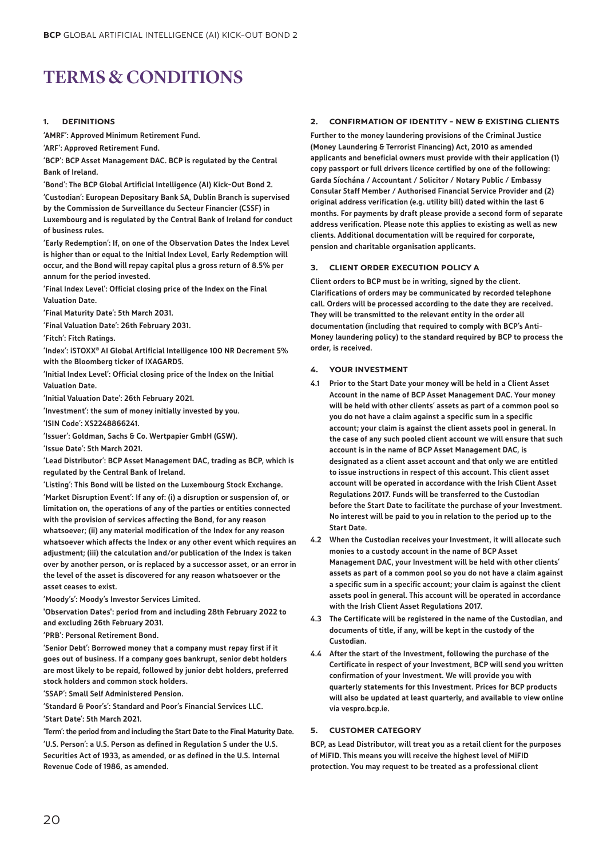# TERMS & CONDITIONS

### 1. DEFINITIONS

'AMRF': Approved Minimum Retirement Fund.

'ARF': Approved Retirement Fund.

'BCP': BCP Asset Management DAC. BCP is regulated by the Central Bank of Ireland.

'Bond': The BCP Global Artificial Intelligence (AI) Kick-Out Bond 2.

'Custodian': European Depositary Bank SA, Dublin Branch is supervised by the Commission de Surveillance du Secteur Financier (CSSF) in Luxembourg and is regulated by the Central Bank of Ireland for conduct of business rules.

'Early Redemption': If, on one of the Observation Dates the Index Level is higher than or equal to the Initial Index Level, Early Redemption will occur, and the Bond will repay capital plus a gross return of 8.5% per annum for the period invested.

'Final Index Level': Official closing price of the Index on the Final Valuation Date.

'Final Maturity Date': 5th March 2031.

'Final Valuation Date': 26th February 2031.

'Fitch': Fitch Ratings.

'Index': iSTOXX ® AI Global Artificial Intelligence 100 NR Decrement 5% with the Bloomberg ticker of IXAGARD5.

'Initial Index Level': Official closing price of the Index on the Initial Valuation Date.

'Initial Valuation Date': 26th February 2021.

'Investment': the sum of money initially invested by you. 'ISIN Code': XS2248866241.

'Issuer': Goldman, Sachs & Co. Wertpapier GmbH (GSW).

'Issue Date': 5th March 2021.

'Lead Distributor': BCP Asset Management DAC, trading as BCP, which is regulated by the Central Bank of Ireland.

'Listing': This Bond will be listed on the Luxembourg Stock Exchange.

'Market Disruption Event': If any of: (i) a disruption or suspension of, or limitation on, the operations of any of the parties or entities connected with the provision of services affecting the Bond, for any reason whatsoever; (ii) any material modification of the Index for any reason whatsoever which affects the Index or any other event which requires an adjustment; (iii) the calculation and/or publication of the Index is taken over by another person, or is replaced by a successor asset, or an error in the level of the asset is discovered for any reason whatsoever or the asset ceases to exist.

'Moody's': Moody's Investor Services Limited.

'Observation Dates': period from and including 28th February 2022 to and excluding 26th February 2031.

'PRB': Personal Retirement Bond.

'Senior Debt': Borrowed money that a company must repay first if it goes out of business. If a company goes bankrupt, senior debt holders are most likely to be repaid, followed by junior debt holders, preferred stock holders and common stock holders.

'SSAP': Small Self Administered Pension.

'Standard & Poor's': Standard and Poor's Financial Services LLC.

'Start Date': 5th March 2021.

'Term': the period from and including the Start Date to the Final Maturity Date. 'U.S. Person': a U.S. Person as defined in Regulation S under the U.S. Securities Act of 1933, as amended, or as defined in the U.S. Internal Revenue Code of 1986, as amended.

### 2. CONFIRMATION OF IDENTITY - NEW & EXISTING CLIENTS

Further to the money laundering provisions of the Criminal Justice (Money Laundering & Terrorist Financing) Act, 2010 as amended applicants and beneficial owners must provide with their application (1) copy passport or full drivers licence certified by one of the following: Garda Síochána / Accountant / Solicitor / Notary Public / Embassy Consular Staff Member / Authorised Financial Service Provider and (2) original address verification (e.g. utility bill) dated within the last 6 months. For payments by draft please provide a second form of separate address verification. Please note this applies to existing as well as new clients. Additional documentation will be required for corporate, pension and charitable organisation applicants.

#### **CLIENT ORDER EXECUTION POLICY A**

Client orders to BCP must be in writing, signed by the client. Clarifications of orders may be communicated by recorded telephone call. Orders will be processed according to the date they are received. They will be transmitted to the relevant entity in the order all documentation (including that required to comply with BCP's Anti-Money laundering policy) to the standard required by BCP to process the order, is received.

#### 4. YOUR INVESTMENT

- 4.1 Prior to the Start Date your money will be held in a Client Asset Account in the name of BCP Asset Management DAC. Your money will be held with other clients' assets as part of a common pool so you do not have a claim against a specific sum in a specific account; your claim is against the client assets pool in general. In the case of any such pooled client account we will ensure that such account is in the name of BCP Asset Management DAC, is designated as a client asset account and that only we are entitled to issue instructions in respect of this account. This client asset account will be operated in accordance with the Irish Client Asset Regulations 2017. Funds will be transferred to the Custodian before the Start Date to facilitate the purchase of your Investment. No interest will be paid to you in relation to the period up to the Start Date.
- 4.2 When the Custodian receives your Investment, it will allocate such monies to a custody account in the name of BCP Asset Management DAC, your Investment will be held with other clients' assets as part of a common pool so you do not have a claim against a specific sum in a specific account; your claim is against the client assets pool in general. This account will be operated in accordance with the Irish Client Asset Regulations 2017.
- 4.3 The Certificate will be registered in the name of the Custodian, and documents of title, if any, will be kept in the custody of the Custodian.
- 4.4 After the start of the Investment, following the purchase of the Certificate in respect of your Investment, BCP will send you written confirmation of your Investment. We will provide you with quarterly statements for this Investment. Prices for BCP products will also be updated at least quarterly, and available to view online via vespro.bcp.ie.

### 5. CUSTOMER CATEGORY

BCP, as Lead Distributor, will treat you as a retail client for the purposes of MiFID. This means you will receive the highest level of MiFID protection. You may request to be treated as a professional client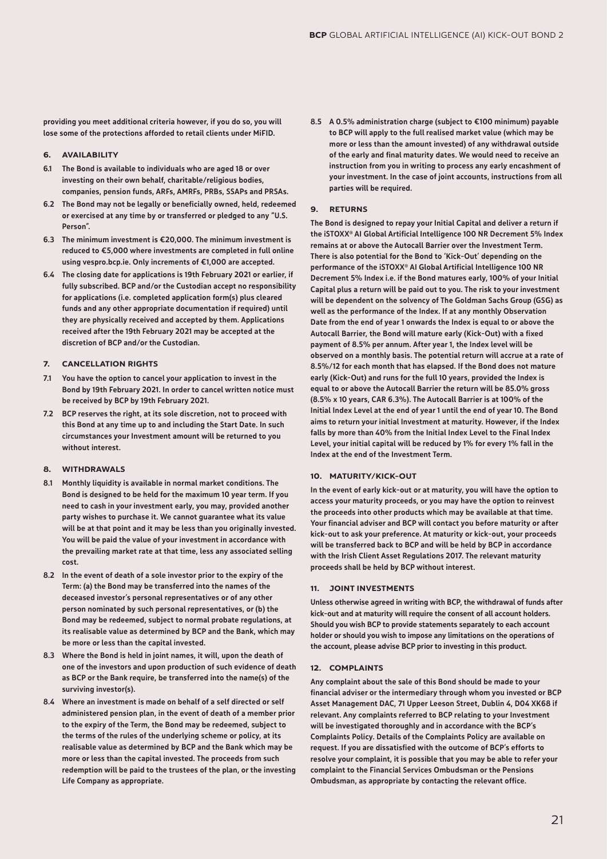providing you meet additional criteria however, if you do so, you will lose some of the protections afforded to retail clients under MiFID.

### 6. AVAILABILITY

- 6.1 The Bond is available to individuals who are aged 18 or over investing on their own behalf, charitable/religious bodies, companies, pension funds, ARFs, AMRFs, PRBs, SSAPs and PRSAs.
- 6.2 The Bond may not be legally or beneficially owned, held, redeemed or exercised at any time by or transferred or pledged to any "U.S. Person".
- 6.3 The minimum investment is €20,000. The minimum investment is reduced to €5,000 where investments are completed in full online using vespro.bcp.ie. Only increments of €1,000 are accepted.
- 6.4 The closing date for applications is 19th February 2021 or earlier, if fully subscribed. BCP and/or the Custodian accept no responsibility for applications (i.e. completed application form(s) plus cleared funds and any other appropriate documentation if required) until they are physically received and accepted by them. Applications received after the 19th February 2021 may be accepted at the discretion of BCP and/or the Custodian.

### 7. CANCELLATION RIGHTS

- 7.1 You have the option to cancel your application to invest in the Bond by 19th February 2021. In order to cancel written notice must be received by BCP by 19th February 2021.
- 7.2 BCP reserves the right, at its sole discretion, not to proceed with this Bond at any time up to and including the Start Date. In such circumstances your Investment amount will be returned to you without interest.

### 8. WITHDRAWALS

- 8.1 Monthly liquidity is available in normal market conditions. The Bond is designed to be held for the maximum 10 year term. If you need to cash in your investment early, you may, provided another party wishes to purchase it. We cannot guarantee what its value will be at that point and it may be less than you originally invested. You will be paid the value of your investment in accordance with the prevailing market rate at that time, less any associated selling cost.
- 8.2 In the event of death of a sole investor prior to the expiry of the Term: (a) the Bond may be transferred into the names of the deceased investor's personal representatives or of any other person nominated by such personal representatives, or (b) the Bond may be redeemed, subject to normal probate regulations, at its realisable value as determined by BCP and the Bank, which may be more or less than the capital invested.
- 8.3 Where the Bond is held in joint names, it will, upon the death of one of the investors and upon production of such evidence of death as BCP or the Bank require, be transferred into the name(s) of the surviving investor(s).
- 8.4 Where an investment is made on behalf of a self directed or self administered pension plan, in the event of death of a member prior to the expiry of the Term, the Bond may be redeemed, subject to the terms of the rules of the underlying scheme or policy, at its realisable value as determined by BCP and the Bank which may be more or less than the capital invested. The proceeds from such redemption will be paid to the trustees of the plan, or the investing Life Company as appropriate.

8.5 A 0.5% administration charge (subject to €100 minimum) payable to BCP will apply to the full realised market value (which may be more or less than the amount invested) of any withdrawal outside of the early and final maturity dates. We would need to receive an instruction from you in writing to process any early encashment of your investment. In the case of joint accounts, instructions from all parties will be required.

### 9. RETURNS

The Bond is designed to repay your Initial Capital and deliver a return if the iSTOXX ® AI Global Artificial Intelligence 100 NR Decrement 5% Index remains at or above the Autocall Barrier over the Investment Term. There is also potential for the Bond to 'Kick-Out' depending on the performance of the iSTOXX ® AI Global Artificial Intelligence 100 NR Decrement 5% Index i.e. if the Bond matures early, 100% of your Initial Capital plus a return will be paid out to you. The risk to your investment will be dependent on the solvency of The Goldman Sachs Group (GSG) as well as the performance of the Index. If at any monthly Observation Date from the end of year 1 onwards the Index is equal to or above the Autocall Barrier, the Bond will mature early (Kick-Out) with a fixed payment of 8.5% per annum. After year 1, the Index level will be observed on a monthly basis. The potential return will accrue at a rate of 8.5%/12 for each month that has elapsed. If the Bond does not mature early (Kick-Out) and runs for the full 10 years, provided the Index is equal to or above the Autocall Barrier the return will be 85.0% gross (8.5% x 10 years, CAR 6.3%). The Autocall Barrier is at 100% of the Initial Index Level at the end of year 1 until the end of year 10. The Bond aims to return your initial Investment at maturity. However, if the Index falls by more than 40% from the Initial Index Level to the Final Index Level, your initial capital will be reduced by 1% for every 1% fall in the Index at the end of the Investment Term.

### 10. MATURITY/KICK-OUT

In the event of early kick-out or at maturity, you will have the option to access your maturity proceeds, or you may have the option to reinvest the proceeds into other products which may be available at that time. Your financial adviser and BCP will contact you before maturity or after kick-out to ask your preference. At maturity or kick-out, your proceeds will be transferred back to BCP and will be held by BCP in accordance with the Irish Client Asset Regulations 2017. The relevant maturity proceeds shall be held by BCP without interest.

#### 11. JOINT INVESTMENTS

Unless otherwise agreed in writing with BCP, the withdrawal of funds after kick-out and at maturity will require the consent of all account holders. Should you wish BCP to provide statements separately to each account holder or should you wish to impose any limitations on the operations of the account, please advise BCP prior to investing in this product.

### 12. COMPLAINTS

Any complaint about the sale of this Bond should be made to your financial adviser or the intermediary through whom you invested or BCP Asset Management DAC, 71 Upper Leeson Street, Dublin 4, D04 XK68 if relevant. Any complaints referred to BCP relating to your Investment will be investigated thoroughly and in accordance with the BCP's Complaints Policy. Details of the Complaints Policy are available on request. If you are dissatisfied with the outcome of BCP's efforts to resolve your complaint, it is possible that you may be able to refer your complaint to the Financial Services Ombudsman or the Pensions Ombudsman, as appropriate by contacting the relevant office.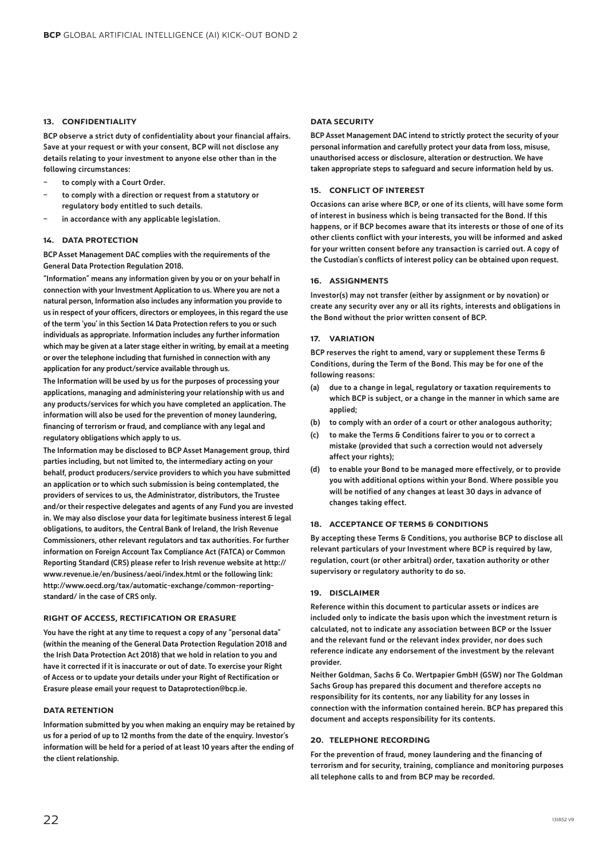### 13. CONFIDENTIALITY

BCP observe a strict duty of confidentiality about your financial affairs. Save at your request or with your consent, BCP will not disclose any details relating to your investment to anyone else other than in the following circumstances:

- to comply with a Court Order.
- to comply with a direction or request from a statutory or regulatory body entitled to such details.
- in accordance with any applicable legislation.

### 14. DATA PROTECTION

BCP Asset Management DAC complies with the requirements of the General Data Protection Regulation 2018.

"Information" means any information given by you or on your behalf in connection with your Investment Application to us. Where you are not a natural person, Information also includes any information you provide to us in respect of your officers, directors or employees, in this regard the use of the term 'you' in this Section 14 Data Protection refers to you or such individuals as appropriate. Information includes any further information which may be given at a later stage either in writing, by email at a meeting or over the telephone including that furnished in connection with any application for any product/service available through us.

The Information will be used by us for the purposes of processing your applications, managing and administering your relationship with us and any products/services for which you have completed an application. The information will also be used for the prevention of money laundering, financing of terrorism or fraud, and compliance with any legal and regulatory obligations which apply to us.

The Information may be disclosed to BCP Asset Management group, third parties including, but not limited to, the intermediary acting on your behalf, product producers/service providers to which you have submitted an application or to which such submission is being contemplated, the providers of services to us, the Administrator, distributors, the Trustee and/or their respective delegates and agents of any Fund you are invested in. We may also disclose your data for legitimate business interest & legal obligations, to auditors, the Central Bank of Ireland, the Irish Revenue Commissioners, other relevant regulators and tax authorities. For further information on Foreign Account Tax Compliance Act (FATCA) or Common Reporting Standard (CRS) please refer to Irish revenue website at http:// www.revenue.ie/en/business/aeoi/index.html or the following link: http://www.oecd.org/tax/automatic-exchange/common-reportingstandard/ in the case of CRS only.

#### RIGHT OF ACCESS, RECTIFICATION OR ERASURE

You have the right at any time to request a copy of any "personal data" (within the meaning of the General Data Protection Regulation 2018 and the Irish Data Protection Act 2018) that we hold in relation to you and have it corrected if it is inaccurate or out of date. To exercise your Right of Access or to update your details under your Right of Rectification or Erasure please email your request to Dataprotection@bcp.ie.

### DATA RETENTION

Information submitted by you when making an enquiry may be retained by us for a period of up to 12 months from the date of the enquiry. Investor's information will be held for a period of at least 10 years after the ending of the client relationship.

#### DATA SECURITY

BCP Asset Management DAC intend to strictly protect the security of your personal information and carefully protect your data from loss, misuse, unauthorised access or disclosure, alteration or destruction. We have taken appropriate steps to safeguard and secure information held by us.

#### 15. CONFLICT OF INTEREST

Occasions can arise where BCP, or one of its clients, will have some form of interest in business which is being transacted for the Bond. If this happens, or if BCP becomes aware that its interests or those of one of its other clients conflict with your interests, you will be informed and asked for your written consent before any transaction is carried out. A copy of the Custodian's conflicts of interest policy can be obtained upon request.

### 16. ASSIGNMENTS

Investor(s) may not transfer (either by assignment or by novation) or create any security over any or all its rights, interests and obligations in the Bond without the prior written consent of BCP.

### 17. VARIATION

BCP reserves the right to amend, vary or supplement these Terms & Conditions, during the Term of the Bond. This may be for one of the following reasons:

- (a) due to a change in legal, regulatory or taxation requirements to which BCP is subject, or a change in the manner in which same are applied;
- (b) to comply with an order of a court or other analogous authority;
- (c) to make the Terms & Conditions fairer to you or to correct a mistake (provided that such a correction would not adversely affect your rights);
- (d) to enable your Bond to be managed more effectively, or to provide you with additional options within your Bond. Where possible you will be notified of any changes at least 30 days in advance of changes taking effect.

### 18. ACCEPTANCE OF TERMS & CONDITIONS

By accepting these Terms & Conditions, you authorise BCP to disclose all relevant particulars of your Investment where BCP is required by law, regulation, court (or other arbitral) order, taxation authority or other supervisory or regulatory authority to do so.

#### 19. DISCLAIMER

Reference within this document to particular assets or indices are included only to indicate the basis upon which the investment return is calculated, not to indicate any association between BCP or the Issuer and the relevant fund or the relevant index provider, nor does such reference indicate any endorsement of the investment by the relevant provider.

Neither Goldman, Sachs & Co. Wertpapier GmbH (GSW) nor The Goldman Sachs Group has prepared this document and therefore accepts no responsibility for its contents, nor any liability for any losses in connection with the information contained herein. BCP has prepared this document and accepts responsibility for its contents.

### 20. TELEPHONE RECORDING

For the prevention of fraud, money laundering and the financing of terrorism and for security, training, compliance and monitoring purposes all telephone calls to and from BCP may be recorded.